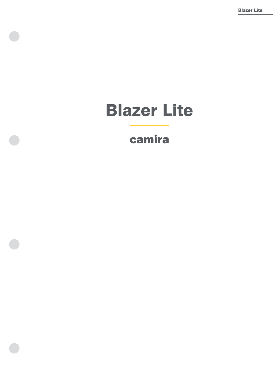# Blazer Lite

# camira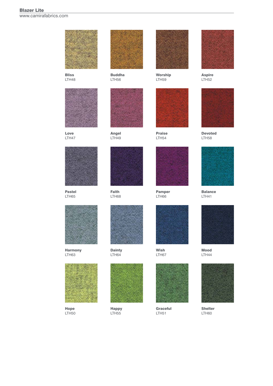### Blazer Lite www.camirafabrics.com

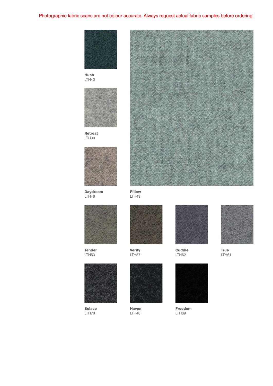### Photographic fabric scans are not colour accurate. Always request actual fabric samples before ordering. Photographic fabric scans are not colour accurate. Always request actual fabric samples before ordering.



Hush LTH42



Retreat LTH39



Daydream LTH46



Tender LTH53



Solace LTH70



Pillow LTH43



Verity LTH57



Haven LTH40



**Cuddle** LTH62



Freedom LTH69



LTH61